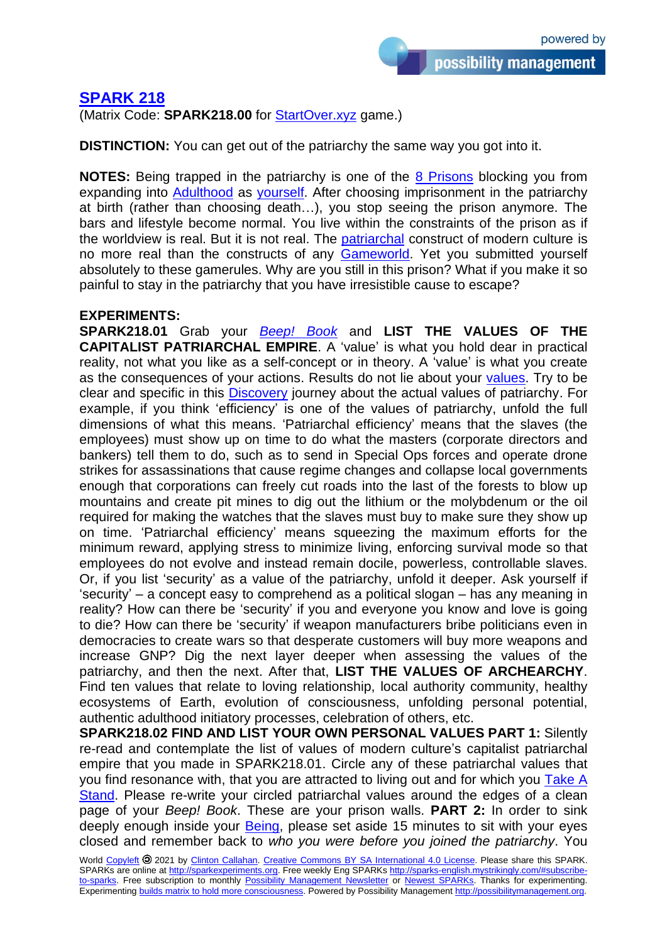## **[SPARK 218](http://sparks-english.mystrikingly.com/)**

(Matrix Code: **SPARK218.00** for [StartOver.xyz](http://startoverxyz.mystrikingly.com/) game.)

**DISTINCTION:** You can get out of the patriarchy the same way you got into it.

**NOTES:** Being trapped in the patriarchy is one of the 8 [Prisons](http://8prisons.mystrikingly.com/) blocking you from expanding into [Adulthood](http://adulthood.mystrikingly.com/) as [yourself.](http://yourbeing.mystrikingly.com/) After choosing imprisonment in the patriarchy at birth (rather than choosing death…), you stop seeing the prison anymore. The bars and lifestyle become normal. You live within the constraints of the prison as if the worldview is real. But it is not real. The [patriarchal](http://patriarchy.mystrikingly.com/) construct of modern culture is no more real than the constructs of any **Gameworld**. Yet you submitted yourself absolutely to these gamerules. Why are you still in this prison? What if you make it so painful to stay in the patriarchy that you have irresistible cause to escape?

## **EXPERIMENTS:**

**SPARK218.01** Grab your *[Beep! Book](http://beepbook.mystrikingly.com/)* and **LIST THE VALUES OF THE CAPITALIST PATRIARCHAL EMPIRE**. A 'value' is what you hold dear in practical reality, not what you like as a self-concept or in theory. A 'value' is what you create as the consequences of your actions. Results do not lie about your [values.](http://values.mystrikingly.com/) Try to be clear and specific in this [Discovery](http://discovering.mystrikingly.com/) journey about the actual values of patriarchy. For example, if you think 'efficiency' is one of the values of patriarchy, unfold the full dimensions of what this means. 'Patriarchal efficiency' means that the slaves (the employees) must show up on time to do what the masters (corporate directors and bankers) tell them to do, such as to send in Special Ops forces and operate drone strikes for assassinations that cause regime changes and collapse local governments enough that corporations can freely cut roads into the last of the forests to blow up mountains and create pit mines to dig out the lithium or the molybdenum or the oil required for making the watches that the slaves must buy to make sure they show up on time. 'Patriarchal efficiency' means squeezing the maximum efforts for the minimum reward, applying stress to minimize living, enforcing survival mode so that employees do not evolve and instead remain docile, powerless, controllable slaves. Or, if you list 'security' as a value of the patriarchy, unfold it deeper. Ask yourself if 'security' – a concept easy to comprehend as a political slogan – has any meaning in reality? How can there be 'security' if you and everyone you know and love is going to die? How can there be 'security' if weapon manufacturers bribe politicians even in democracies to create wars so that desperate customers will buy more weapons and increase GNP? Dig the next layer deeper when assessing the values of the patriarchy, and then the next. After that, **LIST THE VALUES OF ARCHEARCHY**. Find ten values that relate to loving relationship, local authority community, healthy ecosystems of Earth, evolution of consciousness, unfolding personal potential, authentic adulthood initiatory processes, celebration of others, etc.

**SPARK218.02 FIND AND LIST YOUR OWN PERSONAL VALUES PART 1:** Silently re-read and contemplate the list of values of modern culture's capitalist patriarchal empire that you made in SPARK218.01. Circle any of these patriarchal values that you find resonance with, that you are attracted to living out and for which you [Take A](http://takeastand.mystrikingly.com/) [Stand.](http://takeastand.mystrikingly.com/) Please re-write your circled patriarchal values around the edges of a clean page of your *Beep! Book*. These are your prison walls. **PART 2:** In order to sink deeply enough inside your **Being**, please set aside 15 minutes to sit with your eyes closed and remember back to *who you were before you joined the patriarchy*. You